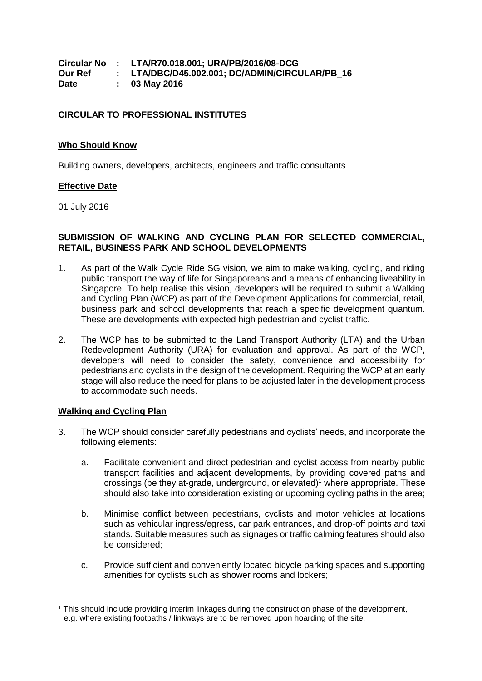|         | Circular No : LTA/R70.018.001; URA/PB/2016/08-DCG |
|---------|---------------------------------------------------|
| Our Ref | : LTA/DBC/D45.002.001; DC/ADMIN/CIRCULAR/PB 16    |
| Date    | $: 03$ May 2016                                   |

## **CIRCULAR TO PROFESSIONAL INSTITUTES**

#### **Who Should Know**

Building owners, developers, architects, engineers and traffic consultants

### **Effective Date**

01 July 2016

## **SUBMISSION OF WALKING AND CYCLING PLAN FOR SELECTED COMMERCIAL, RETAIL, BUSINESS PARK AND SCHOOL DEVELOPMENTS**

- 1. As part of the Walk Cycle Ride SG vision, we aim to make walking, cycling, and riding public transport the way of life for Singaporeans and a means of enhancing liveability in Singapore. To help realise this vision, developers will be required to submit a Walking and Cycling Plan (WCP) as part of the Development Applications for commercial, retail, business park and school developments that reach a specific development quantum. These are developments with expected high pedestrian and cyclist traffic.
- 2. The WCP has to be submitted to the Land Transport Authority (LTA) and the Urban Redevelopment Authority (URA) for evaluation and approval. As part of the WCP, developers will need to consider the safety, convenience and accessibility for pedestrians and cyclists in the design of the development. Requiring the WCP at an early stage will also reduce the need for plans to be adjusted later in the development process to accommodate such needs.

### **Walking and Cycling Plan**

 $\overline{a}$ 

- 3. The WCP should consider carefully pedestrians and cyclists' needs, and incorporate the following elements:
	- a. Facilitate convenient and direct pedestrian and cyclist access from nearby public transport facilities and adjacent developments, by providing covered paths and crossings (be they at-grade, underground, or elevated)<sup>1</sup> where appropriate. These should also take into consideration existing or upcoming cycling paths in the area;
	- b. Minimise conflict between pedestrians, cyclists and motor vehicles at locations such as vehicular ingress/egress, car park entrances, and drop-off points and taxi stands. Suitable measures such as signages or traffic calming features should also be considered;
	- c. Provide sufficient and conveniently located bicycle parking spaces and supporting amenities for cyclists such as shower rooms and lockers;

<sup>1</sup> This should include providing interim linkages during the construction phase of the development, e.g. where existing footpaths / linkways are to be removed upon hoarding of the site.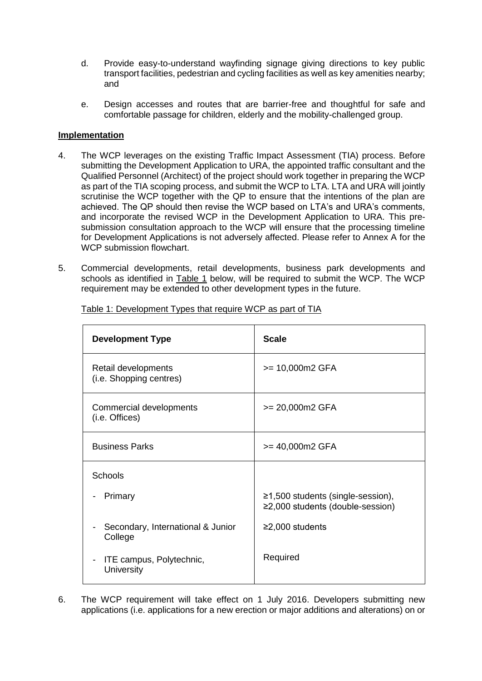- d. Provide easy-to-understand wayfinding signage giving directions to key public transport facilities, pedestrian and cycling facilities as well as key amenities nearby; and
- e. Design accesses and routes that are barrier-free and thoughtful for safe and comfortable passage for children, elderly and the mobility-challenged group.

# **Implementation**

- 4. The WCP leverages on the existing Traffic Impact Assessment (TIA) process. Before submitting the Development Application to URA, the appointed traffic consultant and the Qualified Personnel (Architect) of the project should work together in preparing the WCP as part of the TIA scoping process, and submit the WCP to LTA. LTA and URA will jointly scrutinise the WCP together with the QP to ensure that the intentions of the plan are achieved. The QP should then revise the WCP based on LTA's and URA's comments, and incorporate the revised WCP in the Development Application to URA. This presubmission consultation approach to the WCP will ensure that the processing timeline for Development Applications is not adversely affected. Please refer to Annex A for the WCP submission flowchart.
- 5. Commercial developments, retail developments, business park developments and schools as identified in Table 1 below, will be required to submit the WCP. The WCP requirement may be extended to other development types in the future.

| <b>Development Type</b>                                        | <b>Scale</b>                                                                |
|----------------------------------------------------------------|-----------------------------------------------------------------------------|
| Retail developments<br>(i.e. Shopping centres)                 | $>= 10,000 \text{m}2 \text{ GFA}$                                           |
| Commercial developments<br>(i.e. Offices)                      | $>= 20,000 \text{m2}$ GFA                                                   |
| <b>Business Parks</b>                                          | >= 40,000m2 GFA                                                             |
| <b>Schools</b>                                                 |                                                                             |
| Primary                                                        | ≥1,500 students (single-session),<br>$\geq$ 2,000 students (double-session) |
| Secondary, International & Junior<br>$\blacksquare$<br>College | $\geq$ 2,000 students                                                       |
| ITE campus, Polytechnic,<br>University                         | Required                                                                    |

Table 1: Development Types that require WCP as part of TIA

6. The WCP requirement will take effect on 1 July 2016. Developers submitting new applications (i.e. applications for a new erection or major additions and alterations) on or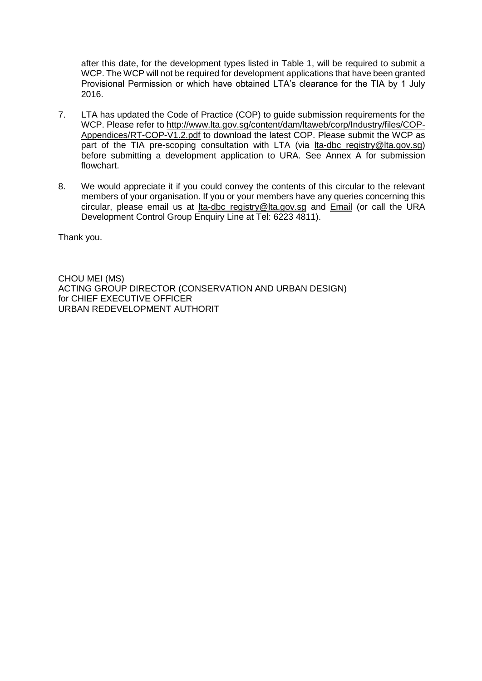after this date, for the development types listed in Table 1, will be required to submit a WCP. The WCP will not be required for development applications that have been granted Provisional Permission or which have obtained LTA's clearance for the TIA by 1 July 2016.

- 7. LTA has updated the Code of Practice (COP) to guide submission requirements for the WCP. Please refer to [http://www.lta.gov.sg/content/dam/ltaweb/corp/Industry/files/COP-](http://www.lta.gov.sg/content/dam/ltaweb/corp/Industry/files/COP-Appendices/RT-COP-V1.2.pdf)[Appendices/RT-COP-V1.2.pdf](http://www.lta.gov.sg/content/dam/ltaweb/corp/Industry/files/COP-Appendices/RT-COP-V1.2.pdf) to download the latest COP. Please submit the WCP as part of the TIA pre-scoping consultation with LTA (via [lta-dbc\\_registry@lta.gov.sg\)](mailto:lta-dbc_registry@lta.gov.sg) before submitting a development application to URA. See [Annex A](#page-3-0) for submission flowchart.
- 8. We would appreciate it if you could convey the contents of this circular to the relevant members of your organisation. If you or your members have any queries concerning this circular, please email us at [lta-dbc\\_registry@lta.gov.sg](mailto:lta-dbc_registry@lta.gov.sg) and [Email](https://www.ura.gov.sg/feedbackWeb/contactus_feedback.jsp) (or call the URA Development Control Group Enquiry Line at Tel: 6223 4811).

Thank you.

CHOU MEI (MS) ACTING GROUP DIRECTOR (CONSERVATION AND URBAN DESIGN) for CHIEF EXECUTIVE OFFICER URBAN REDEVELOPMENT AUTHORIT